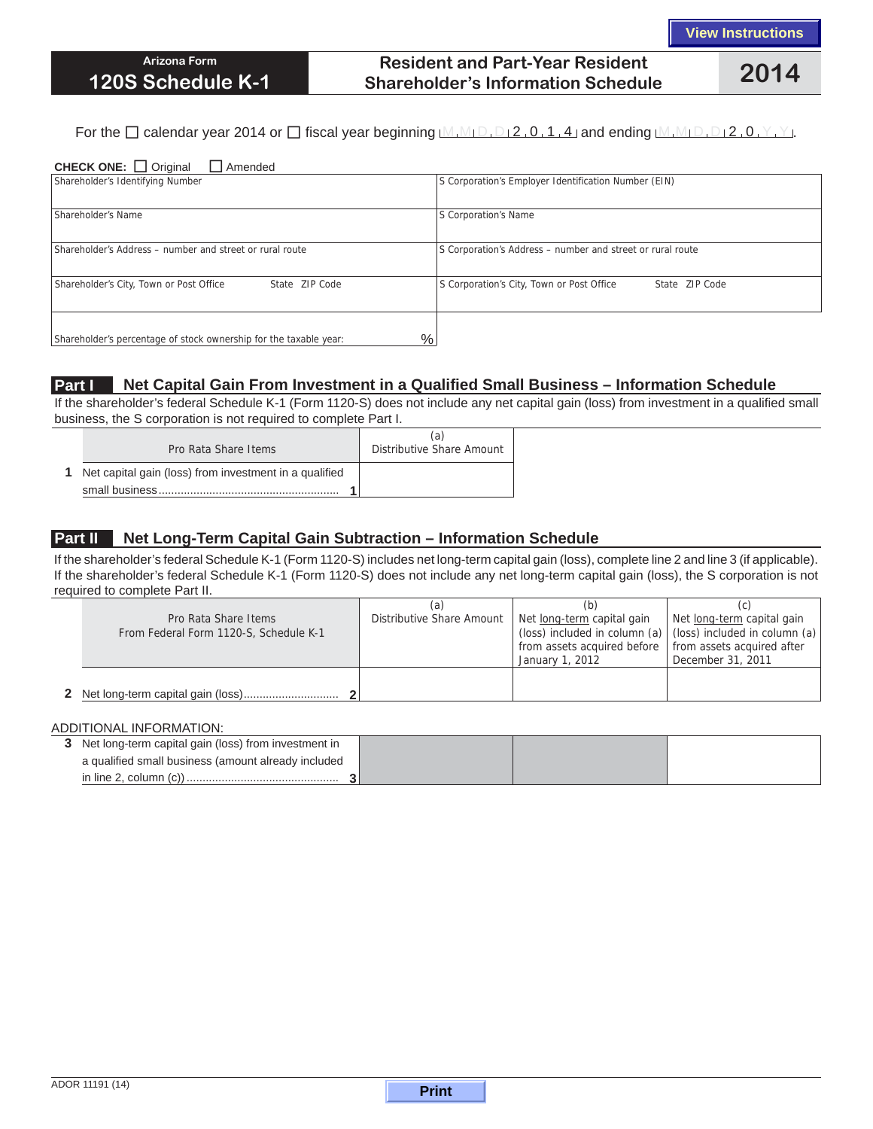# **Resident and Part-Year Resident Shareholder's Information Schedule 2014**

#### For the  $\Box$  calendar year 2014 or  $\Box$  fiscal year beginning  $M_1M_1D_1D_2$ , 0, 1, 4 and ending  $M_1M_1D_1D_12$ , 0, Y, Y,

| <b>CHECK ONE:</b> $\Box$ Original<br>$\Box$ Amended                       |                                                             |  |  |  |  |
|---------------------------------------------------------------------------|-------------------------------------------------------------|--|--|--|--|
| Shareholder's Identifying Number                                          | S Corporation's Employer Identification Number (EIN)        |  |  |  |  |
|                                                                           |                                                             |  |  |  |  |
| Shareholder's Name                                                        | S Corporation's Name                                        |  |  |  |  |
|                                                                           |                                                             |  |  |  |  |
| Shareholder's Address - number and street or rural route                  | S Corporation's Address - number and street or rural route  |  |  |  |  |
|                                                                           |                                                             |  |  |  |  |
| Shareholder's City, Town or Post Office<br>State ZIP Code                 | S Corporation's City, Town or Post Office<br>State ZIP Code |  |  |  |  |
|                                                                           |                                                             |  |  |  |  |
|                                                                           |                                                             |  |  |  |  |
| $\%$<br>Shareholder's percentage of stock ownership for the taxable year: |                                                             |  |  |  |  |

### **Part I Net Capital Gain From Investment in a Qualified Small Business – Information Schedule**

If the shareholder's federal Schedule K-1 (Form 1120-S) does not include any net capital gain (loss) from investment in a qualified small business, the S corporation is not required to complete Part I.

| Pro Rata Share Items                                     | (a)<br>Distributive Share Amount |
|----------------------------------------------------------|----------------------------------|
| 1 Net capital gain (loss) from investment in a qualified |                                  |
|                                                          |                                  |

### **Part II Net Long-Term Capital Gain Subtraction – Information Schedule**

If the shareholder's federal Schedule K-1 (Form 1120-S) includes net long-term capital gain (loss), complete line 2 and line 3 (if applicable). If the shareholder's federal Schedule K-1 (Form 1120-S) does not include any net long-term capital gain (loss), the S corporation is not required to complete Part II.

|                                                                | (a                        | (b)                                                      |                                                                                                   |
|----------------------------------------------------------------|---------------------------|----------------------------------------------------------|---------------------------------------------------------------------------------------------------|
| Pro Rata Share Items<br>From Federal Form 1120-S, Schedule K-1 | Distributive Share Amount | Net long-term capital gain                               | Net long-term capital gain<br>(loss) included in column (a) $ $ (loss) included in column (a) $ $ |
|                                                                |                           | from assets acquired before   from assets acquired after |                                                                                                   |
|                                                                |                           | January 1, 2012                                          | December 31, 2011                                                                                 |
|                                                                |                           |                                                          |                                                                                                   |
|                                                                |                           |                                                          |                                                                                                   |

#### ADDITIONAL INFORMATION:

| 3 Net long-term capital gain (loss) from investment in |  |  |
|--------------------------------------------------------|--|--|
| a qualified small business (amount already included    |  |  |
|                                                        |  |  |